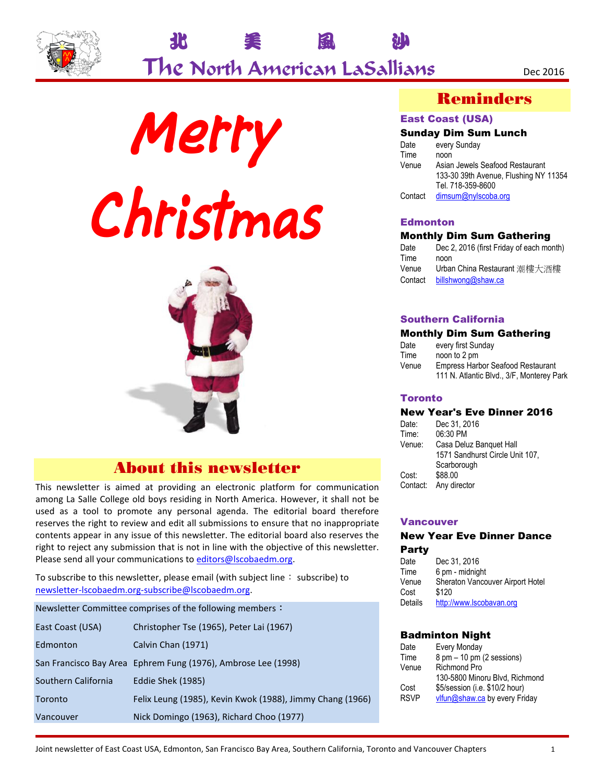







## About this newsletter

This newsletter is aimed at providing an electronic platform for communication among La Salle College old boys residing in North America. However, it shall not be used as a tool to promote any personal agenda. The editorial board therefore reserves the right to review and edit all submissions to ensure that no inappropriate contents appear in any issue of this newsletter. The editorial board also reserves the right to reject any submission that is not in line with the objective of this newsletter. Please send all your communications to editors@lscobaedm.org.

To subscribe to this newsletter, please email (with subject line: subscribe) to newsletter-lscobaedm.org-subscribe@lscobaedm.org.

| Newsletter Committee comprises of the following members: |                                                               |  |  |  |  |  |  |  |
|----------------------------------------------------------|---------------------------------------------------------------|--|--|--|--|--|--|--|
| East Coast (USA)                                         | Christopher Tse (1965), Peter Lai (1967)                      |  |  |  |  |  |  |  |
| Edmonton                                                 | Calvin Chan (1971)                                            |  |  |  |  |  |  |  |
|                                                          | San Francisco Bay Area Ephrem Fung (1976), Ambrose Lee (1998) |  |  |  |  |  |  |  |
| Southern California                                      | Eddie Shek (1985)                                             |  |  |  |  |  |  |  |
| Toronto                                                  | Felix Leung (1985), Kevin Kwok (1988), Jimmy Chang (1966)     |  |  |  |  |  |  |  |
| Vancouver                                                | Nick Domingo (1963), Richard Choo (1977)                      |  |  |  |  |  |  |  |

### Reminders

#### East Coast (USA)

#### Sunday Dim Sum Lunch

| Date    | every Sunday                          |
|---------|---------------------------------------|
| Time    | noon                                  |
| Venue   | Asian Jewels Seafood Restaurant       |
|         | 133-30 39th Avenue, Flushing NY 11354 |
|         | Tel. 718-359-8600                     |
| Contact | dimsum@nylscoba.org                   |
|         |                                       |

#### **Edmonton**

#### Monthly Dim Sum Gathering

| Date    | Dec 2, 2016 (first Friday of each month) |
|---------|------------------------------------------|
| Time    | noon                                     |
| Venue   | Urban China Restaurant 潮樓大酒樓             |
| Contact | billshwong@shaw.ca                       |

#### Southern California

#### Monthly Dim Sum Gathering

| Date  | every first Sunday                        |
|-------|-------------------------------------------|
| Time  | noon to 2 pm                              |
| Venue | <b>Empress Harbor Seafood Restaurant</b>  |
|       | 111 N. Atlantic Blvd., 3/F, Monterey Park |

#### **Toronto**

#### New Year's Eve Dinner 2016

| Date:    | Dec 31, 2016                    |
|----------|---------------------------------|
| Time:    | 06:30 PM                        |
| Venue:   | Casa Deluz Banquet Hall         |
|          | 1571 Sandhurst Circle Unit 107, |
|          | Scarborough                     |
| Cost:    | \$88.00                         |
| Contact: | Any director                    |

#### Vancouver

#### New Year Eve Dinner Dance Party

| Date    | Dec 31, 2016                     |
|---------|----------------------------------|
| Time    | 6 pm - midnight                  |
| Venue   | Sheraton Vancouver Airport Hotel |
| Cost    | \$120                            |
| Details | http://www.lscobavan.org         |

#### Badminton Night

| Date        | Every Monday                                |
|-------------|---------------------------------------------|
| Time        | $8 \text{ pm} - 10 \text{ pm}$ (2 sessions) |
| Venue       | <b>Richmond Pro</b>                         |
|             | 130-5800 Minoru Blvd, Richmond              |
| Cost        | \$5/session (i.e. \$10/2 hour)              |
| <b>RSVP</b> | vlfun@shaw.ca by every Friday               |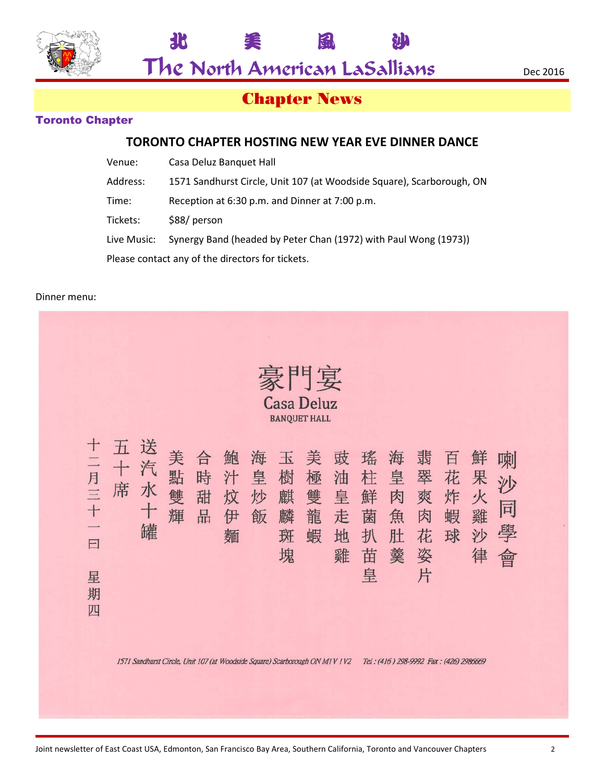

The North American LaSallians Dec 2016

北 美 風 沙

# Chapter News

### Toronto Chapter

### **TORONTO CHAPTER HOSTING NEW YEAR EVE DINNER DANCE**

| Venue:                                           | Casa Deluz Banguet Hall                                               |  |  |  |  |  |
|--------------------------------------------------|-----------------------------------------------------------------------|--|--|--|--|--|
| Address:                                         | 1571 Sandhurst Circle, Unit 107 (at Woodside Square), Scarborough, ON |  |  |  |  |  |
| Time:                                            | Reception at 6:30 p.m. and Dinner at 7:00 p.m.                        |  |  |  |  |  |
| Tickets:                                         | \$88/ person                                                          |  |  |  |  |  |
| Live Music:                                      | Synergy Band (headed by Peter Chan (1972) with Paul Wong (1973))      |  |  |  |  |  |
| Please contact any of the directors for tickets. |                                                                       |  |  |  |  |  |

#### Dinner menu:

|                                                   |             |                                                                             |                  |                  |                       |                  |                            | 門宴<br><b>Casa Deluz</b><br><b>BANQUET HALL</b> |                            |                                 |                            |                                 |                                        |                            |                        |  |
|---------------------------------------------------|-------------|-----------------------------------------------------------------------------|------------------|------------------|-----------------------|------------------|----------------------------|------------------------------------------------|----------------------------|---------------------------------|----------------------------|---------------------------------|----------------------------------------|----------------------------|------------------------|--|
| $^{\mathrm{+}}$<br>二月三<br>$+$<br>曰<br>星<br>期<br>四 | H<br>十<br>席 | 送<br>汽<br>水<br>47<br>罐                                                      | 美<br>點<br>雙<br>輝 | 合<br>時<br>甜<br>品 | 鮑<br>汁<br>炆<br>伊<br>麵 | 海<br>皇<br>炒<br>飯 | 玉<br>樹<br>麒<br>麟<br>斑<br>塊 | 美<br>極<br>雙<br>龍<br>蝦                          | 豉<br>油<br>皇<br>走<br>地<br>雞 | 瑤<br>柱<br>鮮<br>菌<br>扒<br>苗<br>皇 | 海<br>皇<br>肉<br>魚<br>肚<br>羹 | 韹<br>翠<br>爽<br>肉<br>花<br>姿<br>片 | 百<br>花<br>炸<br>蝦<br>球                  | 鮮<br>果<br>火<br>雞<br>沙<br>律 | 喇<br>シリ<br>同<br>學<br>曾 |  |
|                                                   |             | 1571 Sandhurst Circle, Unit 107 (at Woodside Square) Scarborough ON M1V 1V2 |                  |                  |                       |                  |                            |                                                |                            |                                 |                            |                                 | Tel: (416) 298-9992 Fax: (426) 2986669 |                            |                        |  |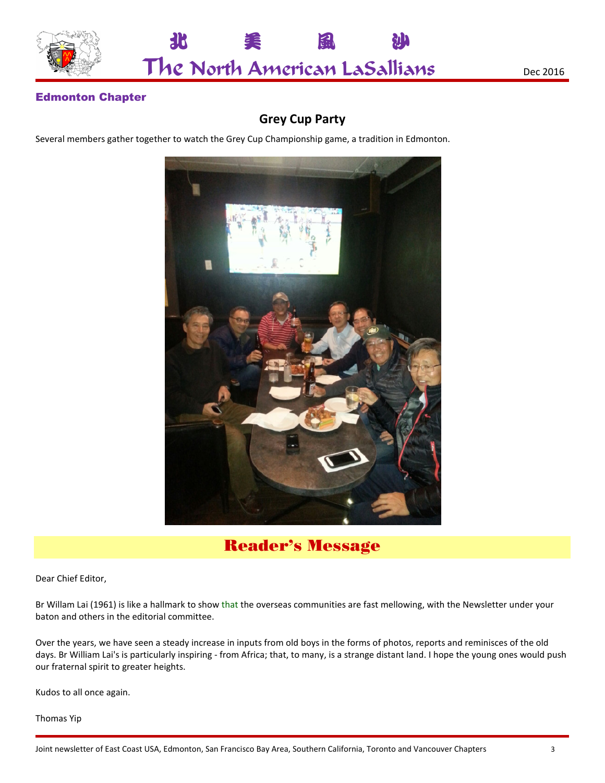



### Edmonton Chapter

### **Grey Cup Party**

Several members gather together to watch the Grey Cup Championship game, a tradition in Edmonton.



Reader's Message

Dear Chief Editor,

Br Willam Lai (1961) is like a hallmark to show that the overseas communities are fast mellowing, with the Newsletter under your baton and others in the editorial committee.

Over the years, we have seen a steady increase in inputs from old boys in the forms of photos, reports and reminisces of the old days. Br William Lai's is particularly inspiring - from Africa; that, to many, is a strange distant land. I hope the young ones would push our fraternal spirit to greater heights.

Kudos to all once again.

Thomas Yip